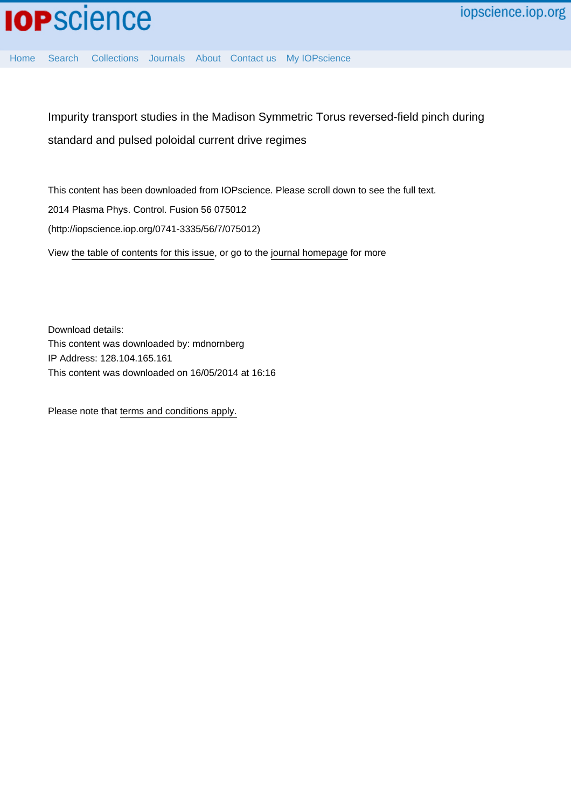[Home](http://iopscience.iop.org/) [Search](http://iopscience.iop.org/search) [Collections](http://iopscience.iop.org/collections) [Journals](http://iopscience.iop.org/journals) [About](http://iopscience.iop.org/page/aboutioppublishing) [Contact us](http://iopscience.iop.org/contact) [My IOPscience](http://iopscience.iop.org/myiopscience)

Impurity transport studies in the Madison Symmetric Torus reversed-field pinch during standard and pulsed poloidal current drive regimes

This content has been downloaded from IOPscience. Please scroll down to see the full text. View [the table of contents for this issue](http://iopscience.iop.org/0741-3335/56/7), or go to the [journal homepage](http://iopscience.iop.org/0741-3335) for more 2014 Plasma Phys. Control. Fusion 56 075012 (http://iopscience.iop.org/0741-3335/56/7/075012)

Download details: This content was downloaded by: mdnornberg IP Address: 128.104.165.161 This content was downloaded on 16/05/2014 at 16:16

Please note that [terms and conditions apply.](iopscience.iop.org/page/terms)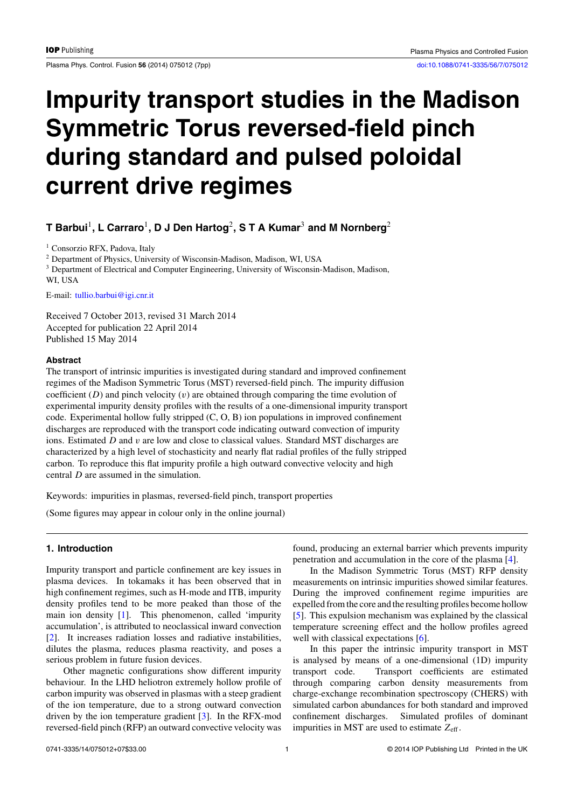Plasma Phys. Control. Fusion **56** (2014) 075012 (7pp) [doi:10.1088/0741-3335/56/7/075012](http://dx.doi.org/10.1088/0741-3335/56/7/075012)

# **Impurity transport studies in the Madison Symmetric Torus reversed-field pinch during standard and pulsed poloidal current drive regimes**

## **T Barbui**1**, L Carraro**1**, D J Den Hartog**2**,STAKumar**<sup>3</sup> **and M Nornberg**<sup>2</sup>

<sup>1</sup> Consorzio RFX, Padova, Italy

<sup>2</sup> Department of Physics, University of Wisconsin-Madison, Madison, WI, USA

<sup>3</sup> Department of Electrical and Computer Engineering, University of Wisconsin-Madison, Madison, WI, USA

E-mail: [tullio.barbui@igi.cnr.it](mailto: tullio.barbui@igi.cnr.it)

Received 7 October 2013, revised 31 March 2014 Accepted for publication 22 April 2014 Published 15 May 2014

#### **Abstract**

The transport of intrinsic impurities is investigated during standard and improved confinement regimes of the Madison Symmetric Torus (MST) reversed-field pinch. The impurity diffusion coefficient (*D*) and pinch velocity (*v*) are obtained through comparing the time evolution of experimental impurity density profiles with the results of a one-dimensional impurity transport code. Experimental hollow fully stripped (C, O, B) ion populations in improved confinement discharges are reproduced with the transport code indicating outward convection of impurity ions. Estimated *D* and *v* are low and close to classical values. Standard MST discharges are characterized by a high level of stochasticity and nearly flat radial profiles of the fully stripped carbon. To reproduce this flat impurity profile a high outward convective velocity and high central *D* are assumed in the simulation.

Keywords: impurities in plasmas, reversed-field pinch, transport properties

(Some figures may appear in colour only in the online journal)

### **1. Introduction**

Impurity transport and particle confinement are key issues in plasma devices. In tokamaks it has been observed that in high confinement regimes, such as H-mode and ITB, impurity density profiles tend to be more peaked than those of the main ion density [\[1\]](#page-7-0). This phenomenon, called 'impurity accumulation', is attributed to neoclassical inward convection [\[2\]](#page-7-0). It increases radiation losses and radiative instabilities, dilutes the plasma, reduces plasma reactivity, and poses a serious problem in future fusion devices.

Other magnetic configurations show different impurity behaviour. In the LHD heliotron extremely hollow profile of carbon impurity was observed in plasmas with a steep gradient of the ion temperature, due to a strong outward convection driven by the ion temperature gradient [\[3\]](#page-7-0). In the RFX-mod reversed-field pinch (RFP) an outward convective velocity was

found, producing an external barrier which prevents impurity penetration and accumulation in the core of the plasma [\[4\]](#page-7-0).

In the Madison Symmetric Torus (MST) RFP density measurements on intrinsic impurities showed similar features. During the improved confinement regime impurities are expelled from the core and the resulting profiles become hollow [\[5\]](#page-7-0). This expulsion mechanism was explained by the classical temperature screening effect and the hollow profiles agreed well with classical expectations [\[6\]](#page-7-0).

In this paper the intrinsic impurity transport in MST is analysed by means of a one-dimensional (1D) impurity transport code. Transport coefficients are estimated through comparing carbon density measurements from charge-exchange recombination spectroscopy (CHERS) with simulated carbon abundances for both standard and improved confinement discharges. Simulated profiles of dominant impurities in MST are used to estimate  $Z_{\text{eff}}$ .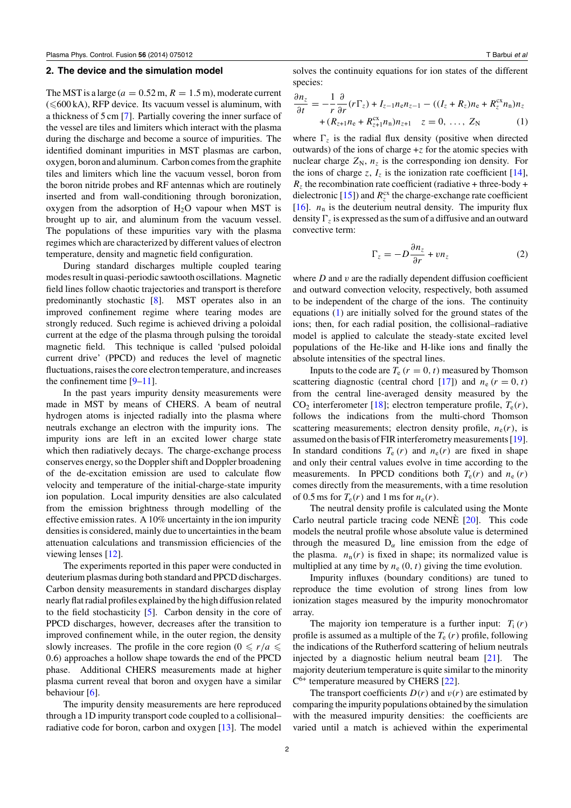#### <span id="page-2-0"></span>**2. The device and the simulation model**

The MST is a large ( $a = 0.52$  m,  $R = 1.5$  m), moderate current  $(**600** kA)$ , RFP device. Its vacuum vessel is aluminum, with a thickness of 5 cm [\[7\]](#page-7-0). Partially covering the inner surface of the vessel are tiles and limiters which interact with the plasma during the discharge and become a source of impurities. The identified dominant impurities in MST plasmas are carbon, oxygen, boron and aluminum. Carbon comes from the graphite tiles and limiters which line the vacuum vessel, boron from the boron nitride probes and RF antennas which are routinely inserted and from wall-conditioning through boronization, oxygen from the adsorption of  $H<sub>2</sub>O$  vapour when MST is brought up to air, and aluminum from the vacuum vessel. The populations of these impurities vary with the plasma regimes which are characterized by different values of electron temperature, density and magnetic field configuration.

During standard discharges multiple coupled tearing modes result in quasi-periodic sawtooth oscillations. Magnetic field lines follow chaotic trajectories and transport is therefore predominantly stochastic [\[8\]](#page-7-0). MST operates also in an improved confinement regime where tearing modes are strongly reduced. Such regime is achieved driving a poloidal current at the edge of the plasma through pulsing the toroidal magnetic field. This technique is called 'pulsed poloidal current drive' (PPCD) and reduces the level of magnetic fluctuations, raises the core electron temperature, and increases the confinement time [\[9–11\]](#page-7-0).

In the past years impurity density measurements were made in MST by means of CHERS. A beam of neutral hydrogen atoms is injected radially into the plasma where neutrals exchange an electron with the impurity ions. The impurity ions are left in an excited lower charge state which then radiatively decays. The charge-exchange process conserves energy, so the Doppler shift and Doppler broadening of the de-excitation emission are used to calculate flow velocity and temperature of the initial-charge-state impurity ion population. Local impurity densities are also calculated from the emission brightness through modelling of the effective emission rates. A 10% uncertainty in the ion impurity densities is considered, mainly due to uncertainties in the beam attenuation calculations and transmission efficiencies of the viewing lenses [\[12\]](#page-7-0).

The experiments reported in this paper were conducted in deuterium plasmas during both standard and PPCD discharges. Carbon density measurements in standard discharges display nearly flat radial profiles explained by the high diffusion related to the field stochasticity [\[5\]](#page-7-0). Carbon density in the core of PPCD discharges, however, decreases after the transition to improved confinement while, in the outer region, the density slowly increases. The profile in the core region ( $0 \le r/a \le$ 0*.*6*)* approaches a hollow shape towards the end of the PPCD phase. Additional CHERS measurements made at higher plasma current reveal that boron and oxygen have a similar behaviour [\[6\]](#page-7-0).

The impurity density measurements are here reproduced through a 1D impurity transport code coupled to a collisional– radiative code for boron, carbon and oxygen [\[13\]](#page-7-0). The model solves the continuity equations for ion states of the different species:

$$
\frac{\partial n_z}{\partial t} = -\frac{1}{r} \frac{\partial}{\partial r} (r \Gamma_z) + I_{z-1} n_e n_{z-1} - ((I_z + R_z) n_e + R_z^{cx} n_n) n_z \n+ (R_{z+1} n_e + R_{z+1}^{cx} n_n) n_{z+1} \quad z = 0, \dots, Z_N
$$
\n(1)

where  $\Gamma$ <sub>z</sub> is the radial flux density (positive when directed outwards) of the ions of charge +*z* for the atomic species with nuclear charge  $Z_N$ ,  $n_z$  is the corresponding ion density. For the ions of charge *z*,  $I_z$  is the ionization rate coefficient [\[14\]](#page-7-0),  $R_z$  the recombination rate coefficient (radiative + three-body + dielectronic [\[15\]](#page-7-0)) and  $R_z^{\text{cx}}$  the charge-exchange rate coefficient [\[16\]](#page-7-0).  $n_n$  is the deuterium neutral density. The impurity flux density  $\Gamma_z$  is expressed as the sum of a diffusive and an outward convective term:

$$
\Gamma_z = -D \frac{\partial n_z}{\partial r} + v n_z \tag{2}
$$

where *D* and *v* are the radially dependent diffusion coefficient and outward convection velocity, respectively, both assumed to be independent of the charge of the ions. The continuity equations (1) are initially solved for the ground states of the ions; then, for each radial position, the collisional–radiative model is applied to calculate the steady-state excited level populations of the He-like and H-like ions and finally the absolute intensities of the spectral lines.

Inputs to the code are  $T_e$   $(r = 0, t)$  measured by Thomson scattering diagnostic (central chord [\[17\]](#page-7-0)) and  $n_e$   $(r = 0, t)$ from the central line-averaged density measured by the  $CO<sub>2</sub>$  interferometer [\[18\]](#page-7-0); electron temperature profile,  $T<sub>e</sub>(r)$ , follows the indications from the multi-chord Thomson scattering measurements; electron density profile,  $n_e(r)$ , is assumed on the basis of FIR interferometry measurements [\[19\]](#page-7-0). In standard conditions  $T_e(r)$  and  $n_e(r)$  are fixed in shape and only their central values evolve in time according to the measurements. In PPCD conditions both  $T_e(r)$  and  $n_e(r)$ comes directly from the measurements, with a time resolution of 0.5 ms for  $T_e(r)$  and 1 ms for  $n_e(r)$ .

The neutral density profile is calculated using the Monte Carlo neutral particle tracing code NENE  $[20]$  $[20]$ . This code models the neutral profile whose absolute value is determined through the measured  $D_{\alpha}$  line emission from the edge of the plasma.  $n_n(r)$  is fixed in shape; its normalized value is multiplied at any time by  $n_e(0, t)$  giving the time evolution.

Impurity influxes (boundary conditions) are tuned to reproduce the time evolution of strong lines from low ionization stages measured by the impurity monochromator array.

The majority ion temperature is a further input:  $T_i(r)$ profile is assumed as a multiple of the  $T_e(r)$  profile, following the indications of the Rutherford scattering of helium neutrals injected by a diagnostic helium neutral beam [\[21\]](#page-7-0). The majority deuterium temperature is quite similar to the minority  $C^{6+}$  temperature measured by CHERS [\[22\]](#page-7-0).

The transport coefficients  $D(r)$  and  $v(r)$  are estimated by comparing the impurity populations obtained by the simulation with the measured impurity densities: the coefficients are varied until a match is achieved within the experimental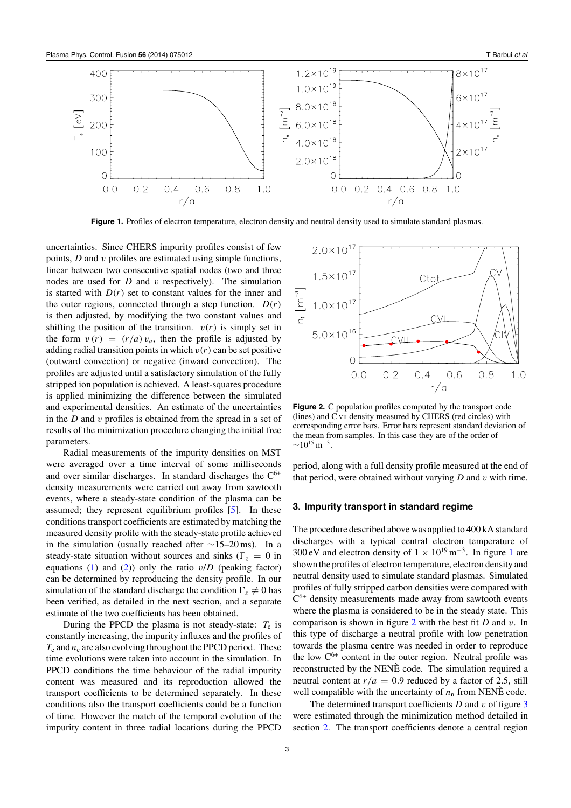

**Figure 1.** Profiles of electron temperature, electron density and neutral density used to simulate standard plasmas.

uncertainties. Since CHERS impurity profiles consist of few points, *D* and *v* profiles are estimated using simple functions, linear between two consecutive spatial nodes (two and three nodes are used for *D* and *v* respectively). The simulation is started with  $D(r)$  set to constant values for the inner and the outer regions, connected through a step function.  $D(r)$ is then adjusted, by modifying the two constant values and shifting the position of the transition.  $v(r)$  is simply set in the form  $v(r) = (r/a)v_a$ , then the profile is adjusted by adding radial transition points in which  $v(r)$  can be set positive (outward convection) or negative (inward convection). The profiles are adjusted until a satisfactory simulation of the fully stripped ion population is achieved. A least-squares procedure is applied minimizing the difference between the simulated and experimental densities. An estimate of the uncertainties in the *D* and *v* profiles is obtained from the spread in a set of results of the minimization procedure changing the initial free parameters.

Radial measurements of the impurity densities on MST were averaged over a time interval of some milliseconds and over similar discharges. In standard discharges the  $C^{6+}$ density measurements were carried out away from sawtooth events, where a steady-state condition of the plasma can be assumed; they represent equilibrium profiles [\[5\]](#page-7-0). In these conditions transport coefficients are estimated by matching the measured density profile with the steady-state profile achieved in the simulation (usually reached after ∼15–20 ms). In a steady-state situation without sources and sinks ( $\Gamma_z = 0$  in equations  $(1)$  and  $(2)$ ) only the ratio  $v/D$  (peaking factor) can be determined by reproducing the density profile. In our simulation of the standard discharge the condition  $\Gamma_z \neq 0$  has been verified, as detailed in the next section, and a separate estimate of the two coefficients has been obtained.

During the PPCD the plasma is not steady-state:  $T_e$  is constantly increasing, the impurity influxes and the profiles of  $T_e$  and  $n_e$  are also evolving throughout the PPCD period. These time evolutions were taken into account in the simulation. In PPCD conditions the time behaviour of the radial impurity content was measured and its reproduction allowed the transport coefficients to be determined separately. In these conditions also the transport coefficients could be a function of time. However the match of the temporal evolution of the impurity content in three radial locations during the PPCD



**Figure 2.** C population profiles computed by the transport code (lines) and C VII density measured by CHERS (red circles) with corresponding error bars. Error bars represent standard deviation of the mean from samples. In this case they are of the order of  $\sim$ 10<sup>15</sup> m<sup>-3</sup>.

period, along with a full density profile measured at the end of that period, were obtained without varying *D* and *v* with time.

#### **3. Impurity transport in standard regime**

The procedure described above was applied to 400 kA standard discharges with a typical central electron temperature of 300 eV and electron density of  $1 \times 10^{19}$  m<sup>-3</sup>. In figure 1 are shown the profiles of electron temperature, electron density and neutral density used to simulate standard plasmas. Simulated profiles of fully stripped carbon densities were compared with  $C^{6+}$  density measurements made away from sawtooth events where the plasma is considered to be in the steady state. This comparison is shown in figure 2 with the best fit *D* and *v*. In this type of discharge a neutral profile with low penetration towards the plasma centre was needed in order to reproduce the low  $C^{6+}$  content in the outer region. Neutral profile was reconstructed by the NENE code. The simulation required a neutral content at  $r/a = 0.9$  reduced by a factor of 2.5, still well compatible with the uncertainty of  $n_n$  from NENE code.

The determined transport coefficients *D* and *v* of figure [3](#page-4-0) were estimated through the minimization method detailed in section [2.](#page-2-0) The transport coefficients denote a central region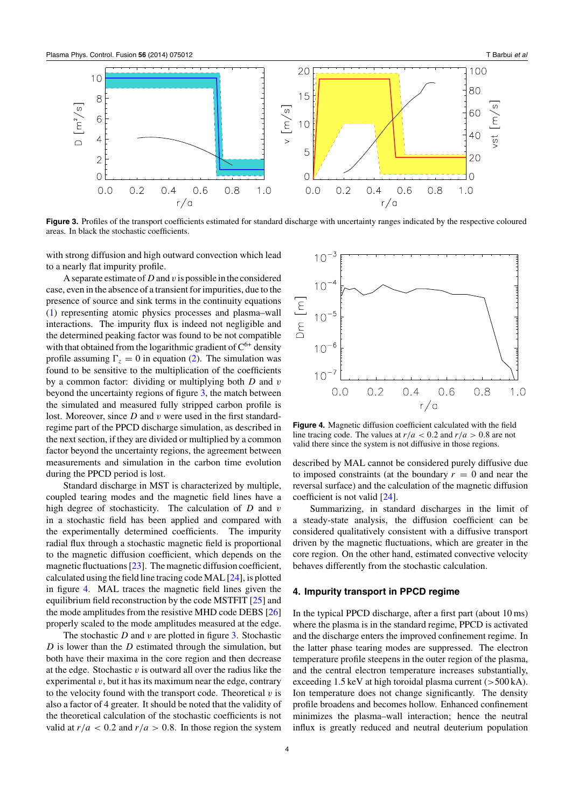<span id="page-4-0"></span>

**Figure 3.** Profiles of the transport coefficients estimated for standard discharge with uncertainty ranges indicated by the respective coloured areas. In black the stochastic coefficients.

with strong diffusion and high outward convection which lead to a nearly flat impurity profile.

A separate estimate of *D* and *v* is possible in the considered case, even in the absence of a transient for impurities, due to the presence of source and sink terms in the continuity equations [\(1\)](#page-2-0) representing atomic physics processes and plasma–wall interactions. The impurity flux is indeed not negligible and the determined peaking factor was found to be not compatible with that obtained from the logarithmic gradient of  $C^{6+}$  density profile assuming  $\Gamma_z = 0$  in equation [\(2\)](#page-2-0). The simulation was found to be sensitive to the multiplication of the coefficients by a common factor: dividing or multiplying both *D* and *v* beyond the uncertainty regions of figure 3, the match between the simulated and measured fully stripped carbon profile is lost. Moreover, since *D* and *v* were used in the first standardregime part of the PPCD discharge simulation, as described in the next section, if they are divided or multiplied by a common factor beyond the uncertainty regions, the agreement between measurements and simulation in the carbon time evolution during the PPCD period is lost.

Standard discharge in MST is characterized by multiple, coupled tearing modes and the magnetic field lines have a high degree of stochasticity. The calculation of *D* and *v* in a stochastic field has been applied and compared with the experimentally determined coefficients. The impurity radial flux through a stochastic magnetic field is proportional to the magnetic diffusion coefficient, which depends on the magnetic fluctuations [\[23\]](#page-7-0). The magnetic diffusion coefficient, calculated using the field line tracing code MAL [\[24\]](#page-7-0), is plotted in figure 4. MAL traces the magnetic field lines given the equilibrium field reconstruction by the code MSTFIT [\[25\]](#page-7-0) and the mode amplitudes from the resistive MHD code DEBS [\[26\]](#page-7-0) properly scaled to the mode amplitudes measured at the edge.

The stochastic *D* and *v* are plotted in figure 3. Stochastic *D* is lower than the *D* estimated through the simulation, but both have their maxima in the core region and then decrease at the edge. Stochastic *v* is outward all over the radius like the experimental  $v$ , but it has its maximum near the edge, contrary to the velocity found with the transport code. Theoretical  $v$  is also a factor of 4 greater. It should be noted that the validity of the theoretical calculation of the stochastic coefficients is not valid at  $r/a < 0.2$  and  $r/a > 0.8$ . In those region the system



**Figure 4.** Magnetic diffusion coefficient calculated with the field line tracing code. The values at  $r/a < 0.2$  and  $r/a > 0.8$  are not valid there since the system is not diffusive in those regions.

described by MAL cannot be considered purely diffusive due to imposed constraints (at the boundary  $r = 0$  and near the reversal surface) and the calculation of the magnetic diffusion coefficient is not valid [\[24\]](#page-7-0).

Summarizing, in standard discharges in the limit of a steady-state analysis, the diffusion coefficient can be considered qualitatively consistent with a diffusive transport driven by the magnetic fluctuations, which are greater in the core region. On the other hand, estimated convective velocity behaves differently from the stochastic calculation.

#### **4. Impurity transport in PPCD regime**

In the typical PPCD discharge, after a first part (about 10 ms) where the plasma is in the standard regime, PPCD is activated and the discharge enters the improved confinement regime. In the latter phase tearing modes are suppressed. The electron temperature profile steepens in the outer region of the plasma, and the central electron temperature increases substantially, exceeding 1.5 keV at high toroidal plasma current (*>*500 kA). Ion temperature does not change significantly. The density profile broadens and becomes hollow. Enhanced confinement minimizes the plasma–wall interaction; hence the neutral influx is greatly reduced and neutral deuterium population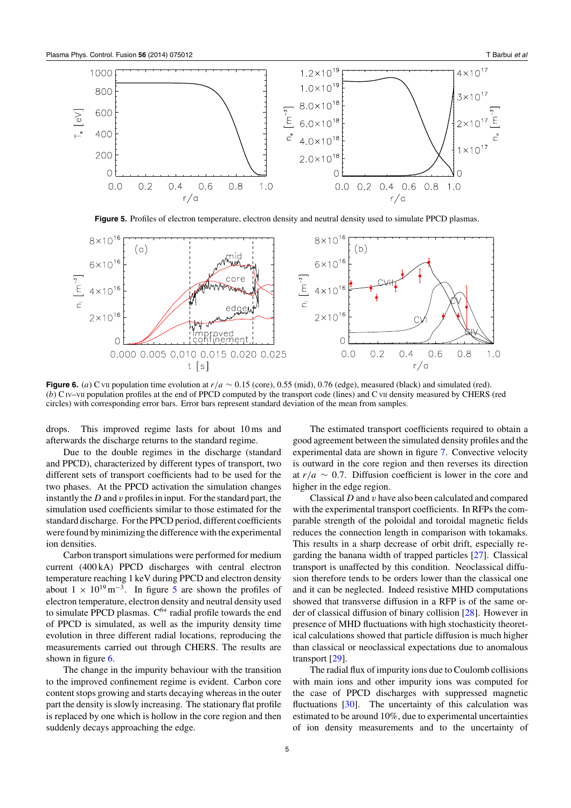

**Figure 5.** Profiles of electron temperature, electron density and neutral density used to simulate PPCD plasmas.



**Figure 6.** (*a*) C vII population time evolution at  $r/a \sim 0.15$  (core), 0.55 (mid), 0.76 (edge), measured (black) and simulated (red). (*b*) C IV–VII population profiles at the end of PPCD computed by the transport code (lines) and C VII density measured by CHERS (red circles) with corresponding error bars. Error bars represent standard deviation of the mean from samples.

drops. This improved regime lasts for about 10 ms and afterwards the discharge returns to the standard regime.

Due to the double regimes in the discharge (standard and PPCD), characterized by different types of transport, two different sets of transport coefficients had to be used for the two phases. At the PPCD activation the simulation changes instantly the *D* and *v* profiles in input. For the standard part, the simulation used coefficients similar to those estimated for the standard discharge. For the PPCD period, different coefficients were found by minimizing the difference with the experimental ion densities.

Carbon transport simulations were performed for medium current (400 kA) PPCD discharges with central electron temperature reaching 1 keV during PPCD and electron density about  $1 \times 10^{19}$  m<sup>-3</sup>. In figure 5 are shown the profiles of electron temperature, electron density and neutral density used to simulate PPCD plasmas.  $C^{6+}$  radial profile towards the end of PPCD is simulated, as well as the impurity density time evolution in three different radial locations, reproducing the measurements carried out through CHERS. The results are shown in figure 6.

The change in the impurity behaviour with the transition to the improved confinement regime is evident. Carbon core content stops growing and starts decaying whereas in the outer part the density is slowly increasing. The stationary flat profile is replaced by one which is hollow in the core region and then suddenly decays approaching the edge.

The estimated transport coefficients required to obtain a good agreement between the simulated density profiles and the experimental data are shown in figure [7.](#page-6-0) Convective velocity is outward in the core region and then reverses its direction at  $r/a \sim 0.7$ . Diffusion coefficient is lower in the core and higher in the edge region.

Classical *D* and *v* have also been calculated and compared with the experimental transport coefficients. In RFPs the comparable strength of the poloidal and toroidal magnetic fields reduces the connection length in comparison with tokamaks. This results in a sharp decrease of orbit drift, especially regarding the banana width of trapped particles [\[27\]](#page-7-0). Classical transport is unaffected by this condition. Neoclassical diffusion therefore tends to be orders lower than the classical one and it can be neglected. Indeed resistive MHD computations showed that transverse diffusion in a RFP is of the same order of classical diffusion of binary collision [\[28\]](#page-7-0). However in presence of MHD fluctuations with high stochasticity theoretical calculations showed that particle diffusion is much higher than classical or neoclassical expectations due to anomalous transport [\[29\]](#page-7-0).

The radial flux of impurity ions due to Coulomb collisions with main ions and other impurity ions was computed for the case of PPCD discharges with suppressed magnetic fluctuations  $[30]$ . The uncertainty of this calculation was estimated to be around 10%, due to experimental uncertainties of ion density measurements and to the uncertainty of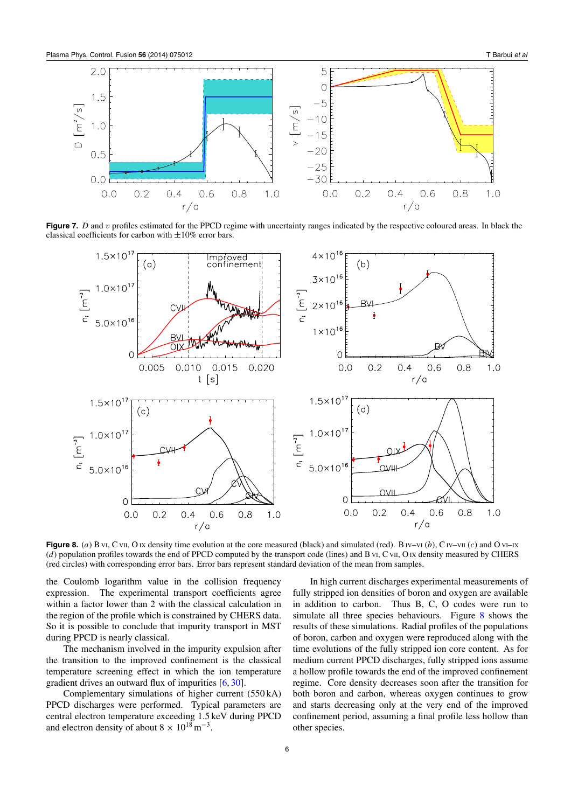<span id="page-6-0"></span>

**Figure 7.** *D* and *v* profiles estimated for the PPCD regime with uncertainty ranges indicated by the respective coloured areas. In black the classical coefficients for carbon with  $\pm 10\%$  error bars.



**Figure 8.** (*a*) B VI, C VII, O IX density time evolution at the core measured (black) and simulated (red). B IV–VI (*b*), CIV–VII (*c*) and O VI–IX (*d*) population profiles towards the end of PPCD computed by the transport code (lines) and B vI, C vII, O IX density measured by CHERS (red circles) with corresponding error bars. Error bars represent standard deviation of the mean from samples.

the Coulomb logarithm value in the collision frequency expression. The experimental transport coefficients agree within a factor lower than 2 with the classical calculation in the region of the profile which is constrained by CHERS data. So it is possible to conclude that impurity transport in MST during PPCD is nearly classical.

The mechanism involved in the impurity expulsion after the transition to the improved confinement is the classical temperature screening effect in which the ion temperature gradient drives an outward flux of impurities [\[6,](#page-7-0) [30\]](#page-7-0).

Complementary simulations of higher current (550 kA) PPCD discharges were performed. Typical parameters are central electron temperature exceeding 1.5 keV during PPCD and electron density of about  $8 \times 10^{18}$  m<sup>-3</sup>.

In high current discharges experimental measurements of fully stripped ion densities of boron and oxygen are available in addition to carbon. Thus B, C, O codes were run to simulate all three species behaviours. Figure 8 shows the results of these simulations. Radial profiles of the populations of boron, carbon and oxygen were reproduced along with the time evolutions of the fully stripped ion core content. As for medium current PPCD discharges, fully stripped ions assume a hollow profile towards the end of the improved confinement regime. Core density decreases soon after the transition for both boron and carbon, whereas oxygen continues to grow and starts decreasing only at the very end of the improved confinement period, assuming a final profile less hollow than other species.